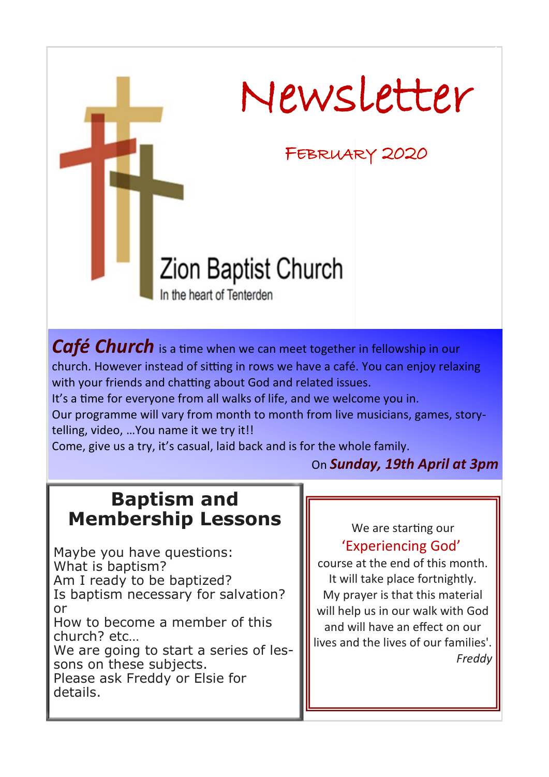

*Café Church* is a time when we can meet together in fellowship in our church. However instead of sitting in rows we have a café. You can enjoy relaxing with your friends and chatting about God and related issues.

It's a time for everyone from all walks of life, and we welcome you in.

Our programme will vary from month to month from live musicians, games, storytelling, video, …You name it we try it!!

Come, give us a try, it's casual, laid back and is for the whole family.

On *Sunday, 19th April at 3pm*

## **Baptism and Membership Lessons**

Maybe you have questions: What is baptism? Am I ready to be baptized? Is baptism necessary for salvation? or How to become a member of this church? etc… We are going to start a series of lessons on these subjects. Please ask Freddy or Elsie for details.

## We are starting our 'Experiencing God'

course at the end of this month. It will take place fortnightly. My prayer is that this material will help us in our walk with God and will have an effect on our lives and the lives of our families'. *Freddy*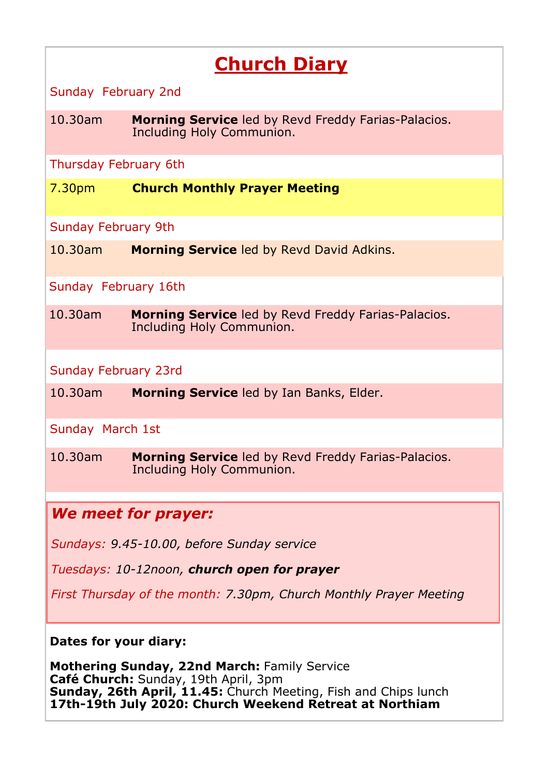# **Church Diary**

Sunday February 2nd

10.30am **Morning Service** led by Revd Freddy Farias-Palacios. Including Holy Communion.

Thursday February 6th

7.30pm **Church Monthly Prayer Meeting**

Sunday February 9th

10.30am **Morning Service** led by Revd David Adkins.

Sunday February 16th

10.30am **Morning Service** led by Revd Freddy Farias-Palacios. Including Holy Communion.

Sunday February 23rd

10.30am **Morning Service** led by Ian Banks, Elder.

Sunday March 1st

10.30am **Morning Service** led by Revd Freddy Farias-Palacios. Including Holy Communion.

## *We meet for prayer:*

*Sundays: 9.45-10.00, before Sunday service*

*Tuesdays: 10-12noon, church open for prayer*

*First Thursday of the month: 7.30pm, Church Monthly Prayer Meeting*

#### **Dates for your diary:**

**Mothering Sunday, 22nd March:** Family Service **Café Church:** Sunday, 19th April, 3pm **Sunday, 26th April, 11.45:** Church Meeting, Fish and Chips lunch **17th-19th July 2020: Church Weekend Retreat at Northiam**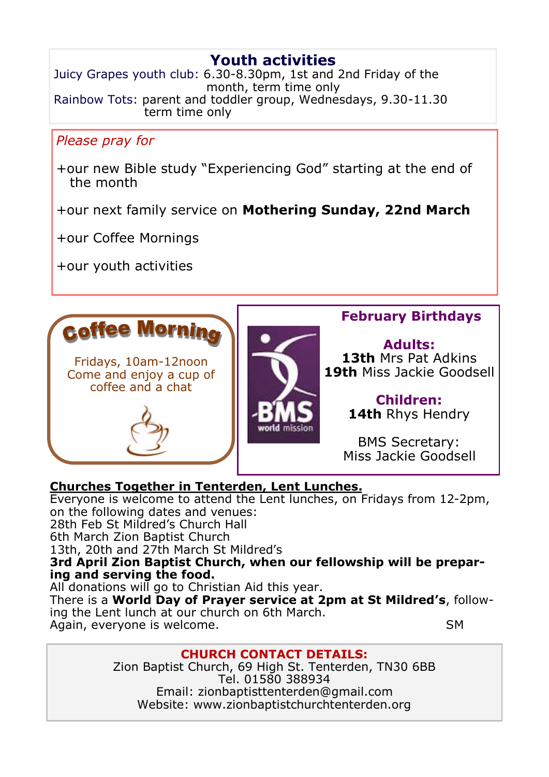## **Youth activities**

Juicy Grapes youth club: 6.30-8.30pm, 1st and 2nd Friday of the month, term time only Rainbow Tots: parent and toddler group, Wednesdays, 9.30-11.30 term time only

### *Please pray for*

+our new Bible study "Experiencing God" starting at the end of the month

+our next family service on **Mothering Sunday, 22nd March**

+our Coffee Mornings

+our youth activities



#### **Churches Together in Tenterden, Lent Lunches.**

Everyone is welcome to attend the Lent lunches, on Fridays from 12-2pm, on the following dates and venues: 28th Feb St Mildred's Church Hall 6th March Zion Baptist Church

13th, 20th and 27th March St Mildred's

**3rd April Zion Baptist Church, when our fellowship will be preparing and serving the food.**

All donations will go to Christian Aid this year.

There is a **World Day of Prayer service at 2pm at St Mildred's**, following the Lent lunch at our church on 6th March. Again, everyone is welcome. The same state of the SM

#### **CHURCH CONTACT DETAILS:**

Zion Baptist Church, 69 High St. Tenterden, TN30 6BB Tel. 01580 388934 Email: zionbaptisttenterden@gmail.com Website: www.zionbaptistchurchtenterden.org